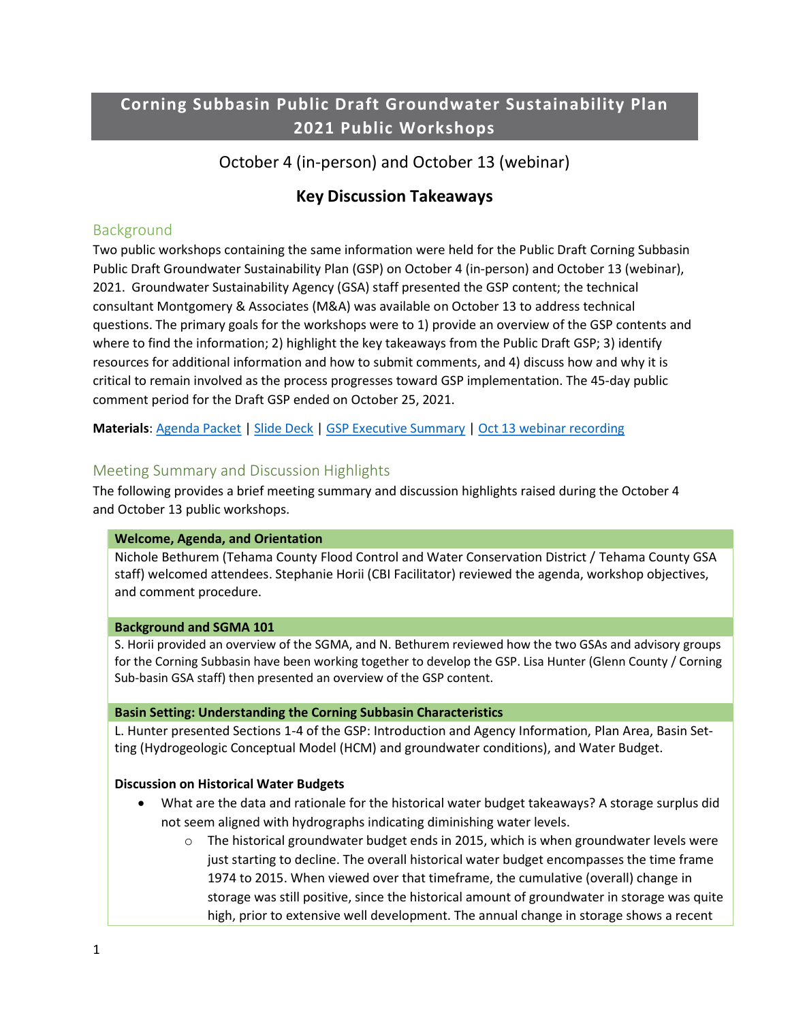# Corning Subbasin Public Draft Groundwater Sustainability Plan 2021 Public Workshops

# October 4 (in-person) and October 13 (webinar)

# Key Discussion Takeaways

## Background

Two public workshops containing the same information were held for the Public Draft Corning Subbasin Public Draft Groundwater Sustainability Plan (GSP) on October 4 (in-person) and October 13 (webinar), 2021. Groundwater Sustainability Agency (GSA) staff presented the GSP content; the technical consultant Montgomery & Associates (M&A) was available on October 13 to address technical questions. The primary goals for the workshops were to 1) provide an overview of the GSP contents and where to find the information; 2) highlight the key takeaways from the Public Draft GSP; 3) identify resources for additional information and how to submit comments, and 4) discuss how and why it is critical to remain involved as the process progresses toward GSP implementation. The 45-day public comment period for the Draft GSP ended on October 25, 2021.

Materials: Agenda Packet | Slide Deck | GSP Executive Summary | Oct 13 webinar recording

## Meeting Summary and Discussion Highlights

The following provides a brief meeting summary and discussion highlights raised during the October 4 and October 13 public workshops.

## Welcome, Agenda, and Orientation

Nichole Bethurem (Tehama County Flood Control and Water Conservation District / Tehama County GSA staff) welcomed attendees. Stephanie Horii (CBI Facilitator) reviewed the agenda, workshop objectives, and comment procedure.

#### Background and SGMA 101

S. Horii provided an overview of the SGMA, and N. Bethurem reviewed how the two GSAs and advisory groups for the Corning Subbasin have been working together to develop the GSP. Lisa Hunter (Glenn County / Corning Sub-basin GSA staff) then presented an overview of the GSP content.

#### Basin Setting: Understanding the Corning Subbasin Characteristics

L. Hunter presented Sections 1-4 of the GSP: Introduction and Agency Information, Plan Area, Basin Setting (Hydrogeologic Conceptual Model (HCM) and groundwater conditions), and Water Budget.

## Discussion on Historical Water Budgets

- What are the data and rationale for the historical water budget takeaways? A storage surplus did not seem aligned with hydrographs indicating diminishing water levels.
	- $\circ$  The historical groundwater budget ends in 2015, which is when groundwater levels were just starting to decline. The overall historical water budget encompasses the time frame 1974 to 2015. When viewed over that timeframe, the cumulative (overall) change in storage was still positive, since the historical amount of groundwater in storage was quite high, prior to extensive well development. The annual change in storage shows a recent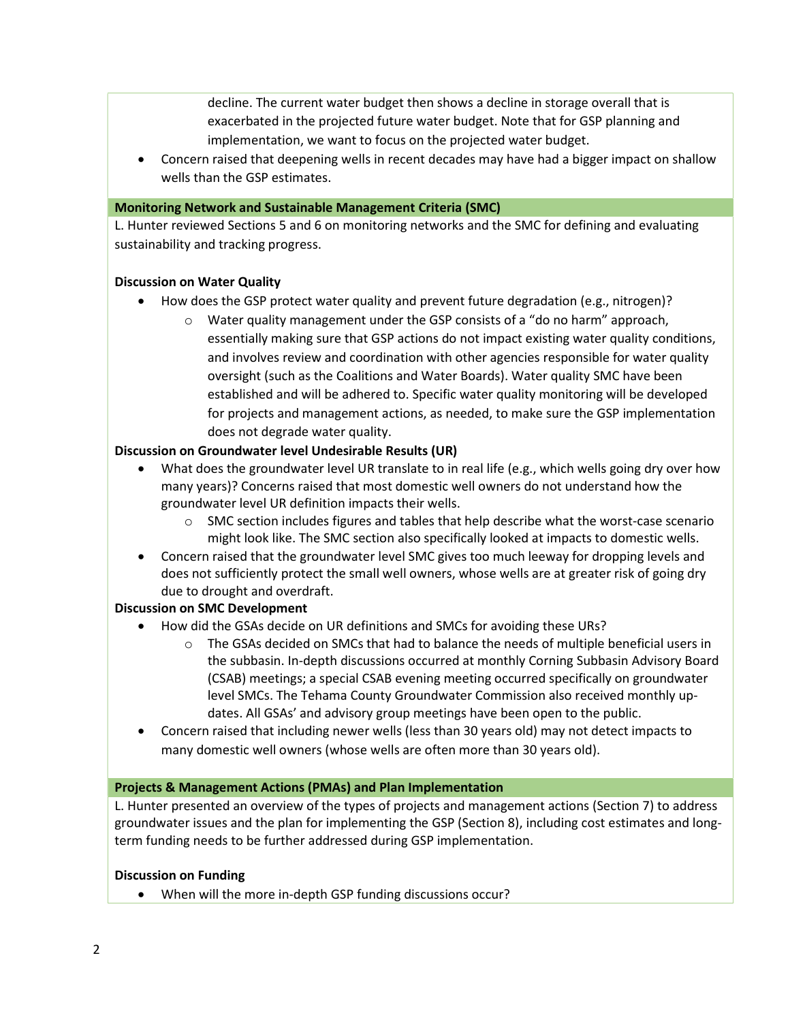decline. The current water budget then shows a decline in storage overall that is exacerbated in the projected future water budget. Note that for GSP planning and implementation, we want to focus on the projected water budget.

 Concern raised that deepening wells in recent decades may have had a bigger impact on shallow wells than the GSP estimates.

### Monitoring Network and Sustainable Management Criteria (SMC)

L. Hunter reviewed Sections 5 and 6 on monitoring networks and the SMC for defining and evaluating sustainability and tracking progress.

## Discussion on Water Quality

- How does the GSP protect water quality and prevent future degradation (e.g., nitrogen)?
	- o Water quality management under the GSP consists of a "do no harm" approach, essentially making sure that GSP actions do not impact existing water quality conditions, and involves review and coordination with other agencies responsible for water quality oversight (such as the Coalitions and Water Boards). Water quality SMC have been established and will be adhered to. Specific water quality monitoring will be developed for projects and management actions, as needed, to make sure the GSP implementation does not degrade water quality.

## Discussion on Groundwater level Undesirable Results (UR)

- What does the groundwater level UR translate to in real life (e.g., which wells going dry over how many years)? Concerns raised that most domestic well owners do not understand how the groundwater level UR definition impacts their wells.
	- $\circ$  SMC section includes figures and tables that help describe what the worst-case scenario might look like. The SMC section also specifically looked at impacts to domestic wells.
- Concern raised that the groundwater level SMC gives too much leeway for dropping levels and does not sufficiently protect the small well owners, whose wells are at greater risk of going dry due to drought and overdraft.

## Discussion on SMC Development

- How did the GSAs decide on UR definitions and SMCs for avoiding these URs?
	- $\circ$  The GSAs decided on SMCs that had to balance the needs of multiple beneficial users in the subbasin. In-depth discussions occurred at monthly Corning Subbasin Advisory Board (CSAB) meetings; a special CSAB evening meeting occurred specifically on groundwater level SMCs. The Tehama County Groundwater Commission also received monthly updates. All GSAs' and advisory group meetings have been open to the public.
- Concern raised that including newer wells (less than 30 years old) may not detect impacts to many domestic well owners (whose wells are often more than 30 years old).

#### Projects & Management Actions (PMAs) and Plan Implementation

L. Hunter presented an overview of the types of projects and management actions (Section 7) to address groundwater issues and the plan for implementing the GSP (Section 8), including cost estimates and longterm funding needs to be further addressed during GSP implementation.

#### Discussion on Funding

When will the more in-depth GSP funding discussions occur?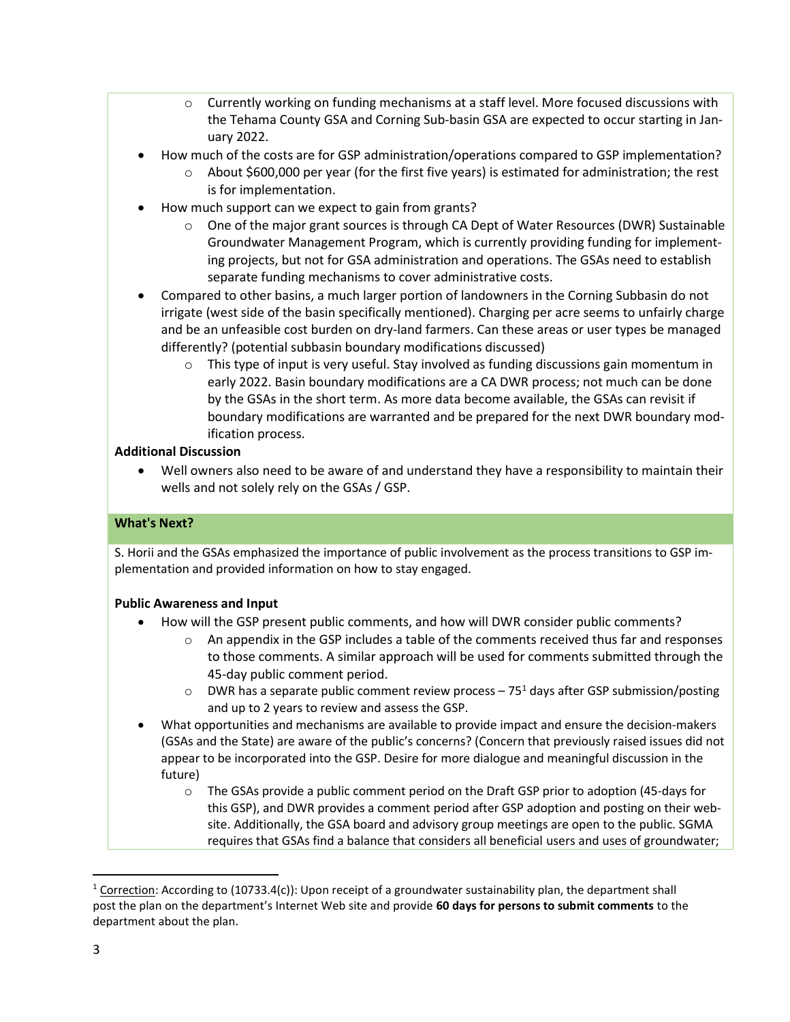- $\circ$  Currently working on funding mechanisms at a staff level. More focused discussions with the Tehama County GSA and Corning Sub-basin GSA are expected to occur starting in January 2022.
- How much of the costs are for GSP administration/operations compared to GSP implementation?
	- $\circ$  About \$600,000 per year (for the first five years) is estimated for administration; the rest is for implementation.
- How much support can we expect to gain from grants?
	- $\circ$  One of the major grant sources is through CA Dept of Water Resources (DWR) Sustainable Groundwater Management Program, which is currently providing funding for implementing projects, but not for GSA administration and operations. The GSAs need to establish separate funding mechanisms to cover administrative costs.
- Compared to other basins, a much larger portion of landowners in the Corning Subbasin do not irrigate (west side of the basin specifically mentioned). Charging per acre seems to unfairly charge and be an unfeasible cost burden on dry-land farmers. Can these areas or user types be managed differently? (potential subbasin boundary modifications discussed)
	- $\circ$  This type of input is very useful. Stay involved as funding discussions gain momentum in early 2022. Basin boundary modifications are a CA DWR process; not much can be done by the GSAs in the short term. As more data become available, the GSAs can revisit if boundary modifications are warranted and be prepared for the next DWR boundary modification process.

## Additional Discussion

 Well owners also need to be aware of and understand they have a responsibility to maintain their wells and not solely rely on the GSAs / GSP.

## What's Next?

S. Horii and the GSAs emphasized the importance of public involvement as the process transitions to GSP implementation and provided information on how to stay engaged.

## Public Awareness and Input

- How will the GSP present public comments, and how will DWR consider public comments?
	- $\circ$  An appendix in the GSP includes a table of the comments received thus far and responses to those comments. A similar approach will be used for comments submitted through the 45-day public comment period.
	- $\circ$  DWR has a separate public comment review process 75<sup>1</sup> days after GSP submission/posting and up to 2 years to review and assess the GSP.
- What opportunities and mechanisms are available to provide impact and ensure the decision-makers (GSAs and the State) are aware of the public's concerns? (Concern that previously raised issues did not appear to be incorporated into the GSP. Desire for more dialogue and meaningful discussion in the future)
	- o The GSAs provide a public comment period on the Draft GSP prior to adoption (45-days for this GSP), and DWR provides a comment period after GSP adoption and posting on their website. Additionally, the GSA board and advisory group meetings are open to the public. SGMA requires that GSAs find a balance that considers all beneficial users and uses of groundwater;

 $1$  Correction: According to (10733.4(c)): Upon receipt of a groundwater sustainability plan, the department shall post the plan on the department's Internet Web site and provide 60 days for persons to submit comments to the department about the plan.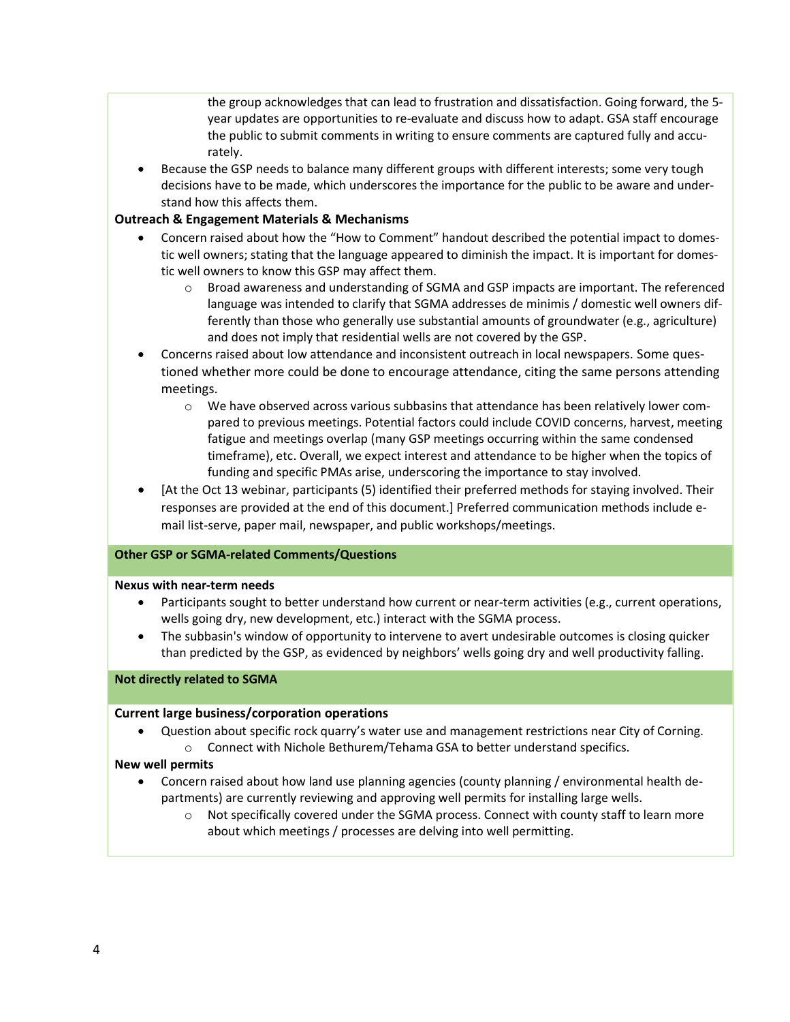the group acknowledges that can lead to frustration and dissatisfaction. Going forward, the 5 year updates are opportunities to re-evaluate and discuss how to adapt. GSA staff encourage the public to submit comments in writing to ensure comments are captured fully and accurately.

 Because the GSP needs to balance many different groups with different interests; some very tough decisions have to be made, which underscores the importance for the public to be aware and understand how this affects them.

## Outreach & Engagement Materials & Mechanisms

- Concern raised about how the "How to Comment" handout described the potential impact to domestic well owners; stating that the language appeared to diminish the impact. It is important for domestic well owners to know this GSP may affect them.
	- o Broad awareness and understanding of SGMA and GSP impacts are important. The referenced language was intended to clarify that SGMA addresses de minimis / domestic well owners differently than those who generally use substantial amounts of groundwater (e.g., agriculture) and does not imply that residential wells are not covered by the GSP.
- Concerns raised about low attendance and inconsistent outreach in local newspapers. Some questioned whether more could be done to encourage attendance, citing the same persons attending meetings.
	- o We have observed across various subbasins that attendance has been relatively lower compared to previous meetings. Potential factors could include COVID concerns, harvest, meeting fatigue and meetings overlap (many GSP meetings occurring within the same condensed timeframe), etc. Overall, we expect interest and attendance to be higher when the topics of funding and specific PMAs arise, underscoring the importance to stay involved.
- [At the Oct 13 webinar, participants (5) identified their preferred methods for staying involved. Their responses are provided at the end of this document.] Preferred communication methods include email list-serve, paper mail, newspaper, and public workshops/meetings.

## Other GSP or SGMA-related Comments/Questions

#### Nexus with near-term needs

- Participants sought to better understand how current or near-term activities (e.g., current operations, wells going dry, new development, etc.) interact with the SGMA process.
- The subbasin's window of opportunity to intervene to avert undesirable outcomes is closing quicker than predicted by the GSP, as evidenced by neighbors' wells going dry and well productivity falling.

#### Not directly related to SGMA

#### Current large business/corporation operations

 Question about specific rock quarry's water use and management restrictions near City of Corning. o Connect with Nichole Bethurem/Tehama GSA to better understand specifics.

#### New well permits

- Concern raised about how land use planning agencies (county planning / environmental health departments) are currently reviewing and approving well permits for installing large wells.
	- o Not specifically covered under the SGMA process. Connect with county staff to learn more about which meetings / processes are delving into well permitting.